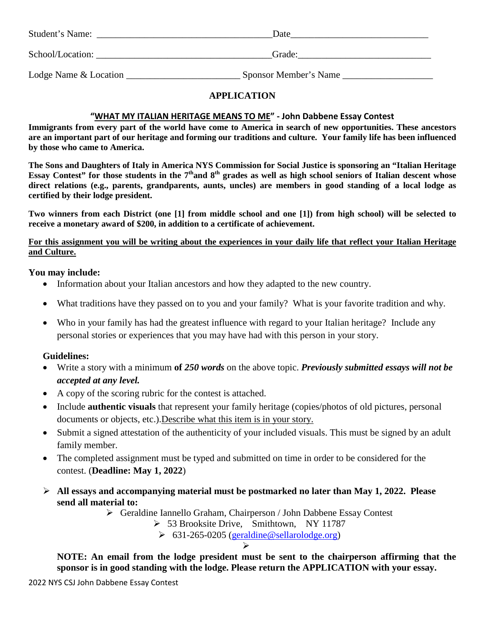| Student's Name:       | Date                  |  |
|-----------------------|-----------------------|--|
| School/Location:      | Grade:                |  |
| Lodge Name & Location | Sponsor Member's Name |  |

# **APPLICATION**

#### **"WHAT MY ITALIAN HERITAGE MEANS TO ME" - John Dabbene Essay Contest**

**Immigrants from every part of the world have come to America in search of new opportunities. These ancestors are an important part of our heritage and forming our traditions and culture. Your family life has been influenced by those who came to America.**

**The Sons and Daughters of Italy in America NYS Commission for Social Justice is sponsoring an "Italian Heritage Essay Contest" for those students in the 7<sup>th</sup>and 8<sup>th</sup> grades as well as high school seniors of Italian descent whose direct relations (e.g., parents, grandparents, aunts, uncles) are members in good standing of a local lodge as certified by their lodge president.**

**Two winners from each District (one [1] from middle school and one [1]) from high school) will be selected to receive a monetary award of \$200, in addition to a certificate of achievement.**

# **For this assignment you will be writing about the experiences in your daily life that reflect your Italian Heritage and Culture.**

# **You may include:**

- Information about your Italian ancestors and how they adapted to the new country.
- What traditions have they passed on to you and your family? What is your favorite tradition and why.
- Who in your family has had the greatest influence with regard to your Italian heritage? Include any personal stories or experiences that you may have had with this person in your story.

# **Guidelines:**

- Write a story with a minimum **of** *250 words* on the above topic. *Previously submitted essays will not be accepted at any level.*
- A copy of the scoring rubric for the contest is attached.
- Include **authentic visuals** that represent your family heritage (copies/photos of old pictures, personal documents or objects, etc.). Describe what this item is in your story.
- Submit a signed attestation of the authenticity of your included visuals. This must be signed by an adult family member.
- The completed assignment must be typed and submitted on time in order to be considered for the contest. (**Deadline: May 1, 2022**)
- **All essays and accompanying material must be postmarked no later than May 1, 2022. Please send all material to:**

Geraldine Iannello Graham, Chairperson / John Dabbene Essay Contest

53 Brooksite Drive, Smithtown, NY 11787

 $\geq 631-265-0205$  [\(geraldine@sellarolodge.org\)](mailto:geraldine@sellarolodge.org)

#### $\triangleright$

**NOTE: An email from the lodge president must be sent to the chairperson affirming that the sponsor is in good standing with the lodge. Please return the APPLICATION with your essay.**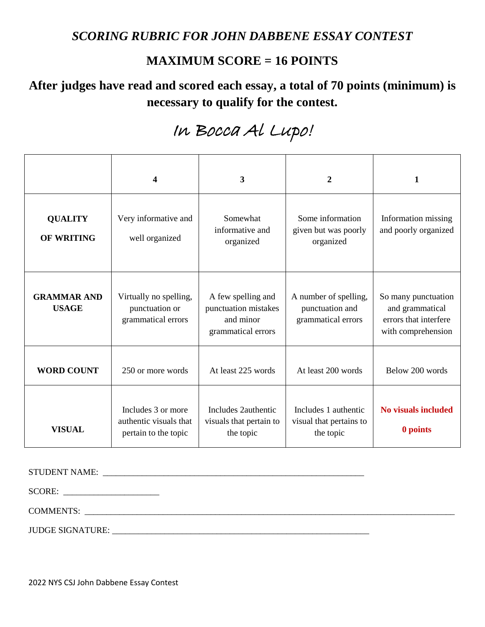# *SCORING RUBRIC FOR JOHN DABBENE ESSAY CONTEST*

# **MAXIMUM SCORE = 16 POINTS**

# **After judges have read and scored each essay, a total of 70 points (minimum) is necessary to qualify for the contest.**

# In Bocca Al Lupo!

|                                     | 4                                                                    | 3                                                                             | $\overline{2}$                                                 | 1                                                                                     |
|-------------------------------------|----------------------------------------------------------------------|-------------------------------------------------------------------------------|----------------------------------------------------------------|---------------------------------------------------------------------------------------|
| <b>QUALITY</b><br><b>OF WRITING</b> | Very informative and<br>well organized                               | Somewhat<br>informative and<br>organized                                      | Some information<br>given but was poorly<br>organized          | Information missing<br>and poorly organized                                           |
| <b>GRAMMAR AND</b><br><b>USAGE</b>  | Virtually no spelling,<br>punctuation or<br>grammatical errors       | A few spelling and<br>punctuation mistakes<br>and minor<br>grammatical errors | A number of spelling,<br>punctuation and<br>grammatical errors | So many punctuation<br>and grammatical<br>errors that interfere<br>with comprehension |
| <b>WORD COUNT</b>                   | 250 or more words                                                    | At least 225 words                                                            | At least 200 words                                             | Below 200 words                                                                       |
| <b>VISUAL</b>                       | Includes 3 or more<br>authentic visuals that<br>pertain to the topic | Includes 2authentic<br>visuals that pertain to<br>the topic                   | Includes 1 authentic<br>visual that pertains to<br>the topic   | <b>No visuals included</b><br>0 points                                                |

STUDENT NAME: \_\_\_\_\_\_\_\_\_\_\_\_\_\_\_\_\_\_\_\_\_\_\_\_\_\_\_\_\_\_\_\_\_\_\_\_\_\_\_\_\_\_\_\_\_\_\_\_\_\_\_\_\_\_\_\_\_\_\_\_

SCORE:

COMMENTS:

JUDGE SIGNATURE: \_\_\_\_\_\_\_\_\_\_\_\_\_\_\_\_\_\_\_\_\_\_\_\_\_\_\_\_\_\_\_\_\_\_\_\_\_\_\_\_\_\_\_\_\_\_\_\_\_\_\_\_\_\_\_\_\_\_\_